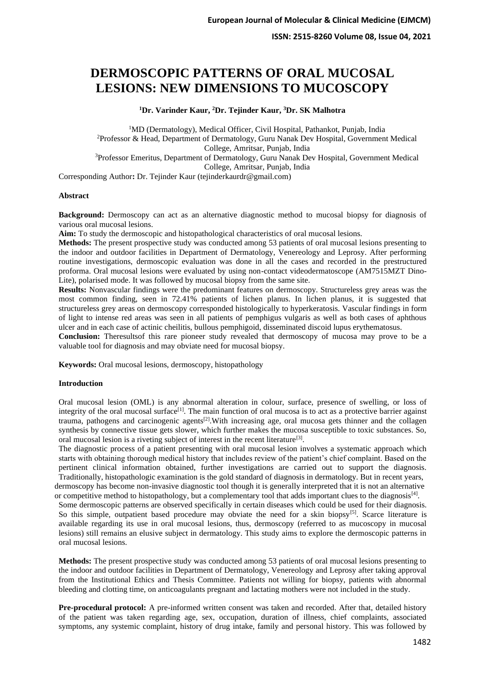**ISSN: 2515-8260 Volume 08, Issue 04, 2021**

# **DERMOSCOPIC PATTERNS OF ORAL MUCOSAL LESIONS: NEW DIMENSIONS TO MUCOSCOPY**

**<sup>1</sup>Dr. Varinder Kaur, <sup>2</sup>Dr. Tejinder Kaur, <sup>3</sup>Dr. SK Malhotra**

<sup>1</sup>MD (Dermatology), Medical Officer, Civil Hospital, Pathankot, Punjab, India <sup>2</sup>Professor & Head, Department of Dermatology, Guru Nanak Dev Hospital, Government Medical College, Amritsar, Punjab, India <sup>3</sup>Professor Emeritus, Department of Dermatology, Guru Nanak Dev Hospital, Government Medical College, Amritsar, Punjab, India

Corresponding Author**:** Dr. Tejinder Kaur (tejinderkaurdr@gmail.com)

#### **Abstract**

**Background:** Dermoscopy can act as an alternative diagnostic method to mucosal biopsy for diagnosis of various oral mucosal lesions.

**Aim:** To study the dermoscopic and histopathological characteristics of oral mucosal lesions.

**Methods:** The present prospective study was conducted among 53 patients of oral mucosal lesions presenting to the indoor and outdoor facilities in Department of Dermatology, Venereology and Leprosy. After performing routine investigations, dermoscopic evaluation was done in all the cases and recorded in the prestructured proforma. Oral mucosal lesions were evaluated by using non-contact videodermatoscope (AM7515MZT Dino-Lite), polarised mode. It was followed by mucosal biopsy from the same site.

**Results:** Nonvascular findings were the predominant features on dermoscopy. Structureless grey areas was the most common finding, seen in 72.41% patients of lichen planus. In lichen planus, it is suggested that structureless grey areas on dermoscopy corresponded histologically to hyperkeratosis. Vascular findings in form of light to intense red areas was seen in all patients of pemphigus vulgaris as well as both cases of aphthous ulcer and in each case of actinic cheilitis, bullous pemphigoid, disseminated discoid lupus erythematosus.

**Conclusion:** Theresultsof this rare pioneer study revealed that dermoscopy of mucosa may prove to be a valuable tool for diagnosis and may obviate need for mucosal biopsy.

**Keywords:** Oral mucosal lesions, dermoscopy, histopathology

#### **Introduction**

Oral mucosal lesion (OML) is any abnormal alteration in colour, surface, presence of swelling, or loss of integrity of the oral mucosal surface<sup>[1]</sup>. The main function of oral mucosa is to act as a protective barrier against trauma, pathogens and carcinogenic agents[2].With increasing age, oral mucosa gets thinner and the collagen synthesis by connective tissue gets slower, which further makes the mucosa susceptible to toxic substances. So, oral mucosal lesion is a riveting subject of interest in the recent literature<sup>[3]</sup>.

The diagnostic process of a patient presenting with oral mucosal lesion involves a systematic approach which starts with obtaining thorough medical history that includes review of the patient's chief complaint. Based on the pertinent clinical information obtained, further investigations are carried out to support the diagnosis. Traditionally, histopathologic examination is the gold standard of diagnosis in dermatology. But in recent years, dermoscopy has become non-invasive diagnostic tool though it is generally interpreted that it is not an alternative or competitive method to histopathology, but a complementary tool that adds important clues to the diagnosis<sup>[4]</sup>.

Some dermoscopic patterns are observed specifically in certain diseases which could be used for their diagnosis. So this simple, outpatient based procedure may obviate the need for a skin biopsy<sup>[5]</sup>. Scarce literature is available regarding its use in oral mucosal lesions, thus, dermoscopy (referred to as mucoscopy in mucosal lesions) still remains an elusive subject in dermatology. This study aims to explore the dermoscopic patterns in oral mucosal lesions.

**Methods:** The present prospective study was conducted among 53 patients of oral mucosal lesions presenting to the indoor and outdoor facilities in Department of Dermatology, Venereology and Leprosy after taking approval from the Institutional Ethics and Thesis Committee. Patients not willing for biopsy, patients with abnormal bleeding and clotting time, on anticoagulants pregnant and lactating mothers were not included in the study.

**Pre-procedural protocol:** A pre-informed written consent was taken and recorded. After that, detailed history of the patient was taken regarding age, sex, occupation, duration of illness, chief complaints, associated symptoms, any systemic complaint, history of drug intake, family and personal history. This was followed by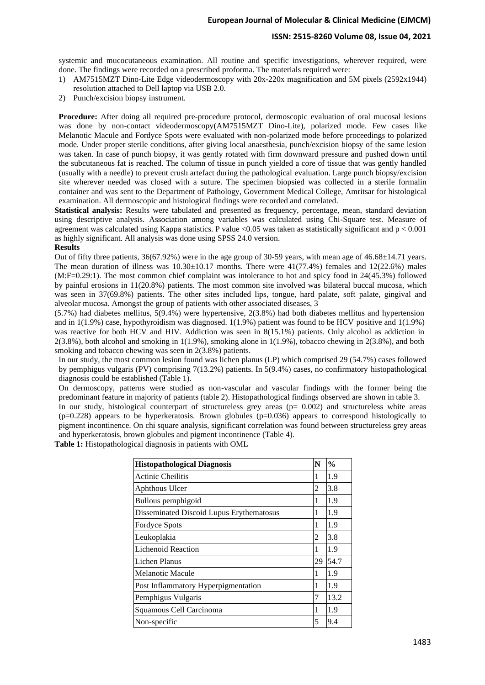### **ISSN: 2515-8260 Volume 08, Issue 04, 2021**

systemic and mucocutaneous examination. All routine and specific investigations, wherever required, were done. The findings were recorded on a prescribed proforma. The materials required were:

- 1) AM7515MZT Dino-Lite Edge videodermoscopy with 20x-220x magnification and 5M pixels (2592x1944) resolution attached to Dell laptop via USB 2.0.
- 2) Punch/excision biopsy instrument.

**Procedure:** After doing all required pre-procedure protocol, dermoscopic evaluation of oral mucosal lesions was done by non-contact videodermoscopy(AM7515MZT Dino-Lite), polarized mode. Few cases like Melanotic Macule and Fordyce Spots were evaluated with non-polarized mode before proceedings to polarized mode. Under proper sterile conditions, after giving local anaesthesia, punch/excision biopsy of the same lesion was taken. In case of punch biopsy, it was gently rotated with firm downward pressure and pushed down until the subcutaneous fat is reached. The column of tissue in punch yielded a core of tissue that was gently handled (usually with a needle) to prevent crush artefact during the pathological evaluation. Large punch biopsy/excision site wherever needed was closed with a suture. The specimen biopsied was collected in a sterile formalin container and was sent to the Department of Pathology, Government Medical College, Amritsar for histological examination. All dermoscopic and histological findings were recorded and correlated.

**Statistical analysis:** Results were tabulated and presented as frequency, percentage, mean, standard deviation using descriptive analysis. Association among variables was calculated using Chi-Square test. Measure of agreement was calculated using Kappa statistics. P value <0.05 was taken as statistically significant and  $p < 0.001$ as highly significant. All analysis was done using SPSS 24.0 version.

### **Results**

Out of fifty three patients, 36(67.92%) were in the age group of 30-59 years, with mean age of 46.68±14.71 years. The mean duration of illness was  $10.30\pm10.17$  months. There were  $41(77.4%)$  females and  $12(22.6%)$  males (M:F=0.29:1). The most common chief complaint was intolerance to hot and spicy food in 24(45.3%) followed by painful erosions in 11(20.8%) patients. The most common site involved was bilateral buccal mucosa, which was seen in 37(69.8%) patients. The other sites included lips, tongue, hard palate, soft palate, gingival and alveolar mucosa. Amongst the group of patients with other associated diseases, 3

(5.7%) had diabetes mellitus, 5(9.4%) were hypertensive, 2(3.8%) had both diabetes mellitus and hypertension and in 1(1.9%) case, hypothyroidism was diagnosed. 1(1.9%) patient was found to be HCV positive and 1(1.9%) was reactive for both HCV and HIV. Addiction was seen in 8(15.1%) patients. Only alcohol as addiction in 2(3.8%), both alcohol and smoking in 1(1.9%), smoking alone in 1(1.9%), tobacco chewing in 2(3.8%), and both smoking and tobacco chewing was seen in 2(3.8%) patients.

In our study, the most common lesion found was lichen planus (LP) which comprised 29 (54.7%) cases followed by pemphigus vulgaris (PV) comprising 7(13.2%) patients. In 5(9.4%) cases, no confirmatory histopathological diagnosis could be established (Table 1).

On dermoscopy, patterns were studied as non-vascular and vascular findings with the former being the predominant feature in majority of patients (table 2). Histopathological findings observed are shown in table 3. In our study, histological counterpart of structureless grey areas ( $p= 0.002$ ) and structureless white areas

 $(p=0.228)$  appears to be hyperkeratosis. Brown globules  $(p=0.036)$  appears to correspond histologically to pigment incontinence. On chi square analysis, significant correlation was found between structureless grey areas and hyperkeratosis, brown globules and pigment incontinence (Table 4).

**Table 1:** Histopathological diagnosis in patients with OML

| <b>Histopathological Diagnosis</b>       | N  | $\frac{0}{0}$ |
|------------------------------------------|----|---------------|
| <b>Actinic Cheilitis</b>                 |    | 1.9           |
| Aphthous Ulcer                           | 2  | 3.8           |
| Bullous pemphigoid                       | 1  | 1.9           |
| Disseminated Discoid Lupus Erythematosus | 1  | 1.9           |
| <b>Fordyce Spots</b>                     | 1  | 1.9           |
| Leukoplakia                              | 2  | 3.8           |
| <b>Lichenoid Reaction</b>                |    | 1.9           |
| Lichen Planus                            | 29 | 54.7          |
| Melanotic Macule                         |    | 1.9           |
| Post Inflammatory Hyperpigmentation      |    | 1.9           |
| Pemphigus Vulgaris                       | 7  | 13.2          |
| Squamous Cell Carcinoma                  |    | 1.9           |
| Non-specific                             | 5  | 9.4           |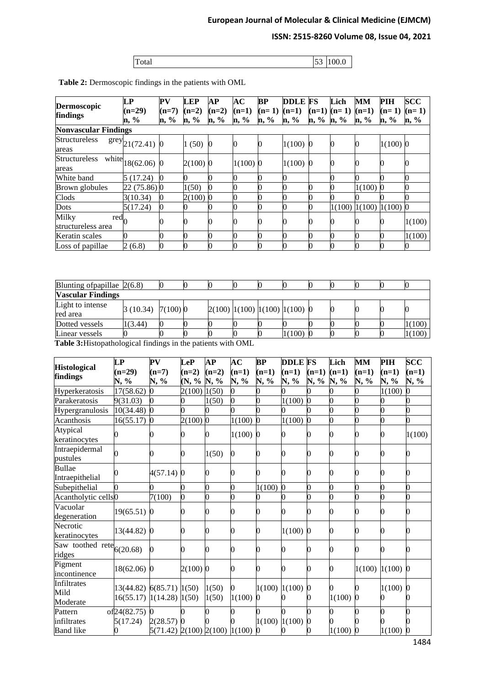# **ISSN: 2515-8260 Volume 08, Issue 04, 2021**

| IT.<br>Total | $\sim$<br>ັ້ | 100.0 |
|--------------|--------------|-------|

| <b>Dermoscopic</b>                                                            | $\mathbf{L}\mathbf{P}$                                       |              | ${\bf PV}$                                                   | <b>LEP</b>              | AP                                    | AC                    | BP                 | <b>DDLE</b> FS                          |                 | Lich            | <b>MM</b>                  | PIH                   | <b>SCC</b>      |
|-------------------------------------------------------------------------------|--------------------------------------------------------------|--------------|--------------------------------------------------------------|-------------------------|---------------------------------------|-----------------------|--------------------|-----------------------------------------|-----------------|-----------------|----------------------------|-----------------------|-----------------|
| findings                                                                      | $(n=29)$                                                     |              | $(n=7)$                                                      | $(n=2)$                 | $(n=2)$                               | $(n=1)$               | $(n=1)$            | $(n=1)$                                 |                 | $(n=1)$ $(n=1)$ | $(n=1)$                    | $(n=1)$               | $(n=1)$         |
| <b>Nonvascular Findings</b>                                                   | n, %                                                         |              | n, %                                                         | n, %                    | n, %                                  | n, %                  | n, %               | n, %                                    | n, %            | n, %            | n, %                       | n, %                  | n, %            |
| <b>Structureless</b>                                                          |                                                              |              |                                                              |                         |                                       |                       |                    |                                         |                 |                 |                            |                       |                 |
| areas                                                                         | $\text{grey}_{21(72.41)}$ 0                                  |              |                                                              | 1(50)                   | $\boldsymbol{0}$                      | 0                     | $\overline{0}$     | $1(100)$ 0                              |                 | 0               | $\bf{0}$                   | $1(100)$ <sub>0</sub> |                 |
| Structureless white $ 18(62.06) 0$<br>areas                                   |                                                              |              |                                                              | $2(100)$ <sup>0</sup>   |                                       | $1(100)$ <sup>0</sup> |                    | $1(100)$ 0                              |                 | 0               | $\boldsymbol{0}$           | 0                     | 0               |
| White band                                                                    |                                                              | 5(17.24)     | 0                                                            | O                       | 0                                     | 0                     | 0                  | $\overline{0}$                          |                 | 0               | 0                          | 0                     | $\overline{0}$  |
| Brown globules                                                                |                                                              | 22 (75.86) 0 |                                                              | 1(50)                   | $\bf{0}$                              | 0                     | 0                  | $\overline{0}$                          | 0               | 0               | 1(100)                     | $\Omega$              | $\overline{0}$  |
| Clods                                                                         |                                                              | 3(10.34)     | 0                                                            | $2(100)$ <sup>0</sup>   |                                       | $\overline{0}$        | $\overline{0}$     | $\overline{0}$                          | 0               | 0               |                            |                       | 0               |
| Dots                                                                          |                                                              | 5(17.24)     | 0                                                            | Э                       | 0                                     | 0                     | $\overline{0}$     | $\overline{0}$                          | 0               |                 | $1(100)$ $1(100)$ $1(100)$ |                       | $\mathbf{0}$    |
| Milky                                                                         | $\overline{\text{red}}_0$                                    |              | 0                                                            | 0                       | 0                                     | 0                     | 0                  | 0                                       | 0               | 0               | $\boldsymbol{0}$           | 0                     | 1(100)          |
| structureless area                                                            |                                                              |              |                                                              |                         |                                       |                       |                    |                                         |                 |                 |                            |                       |                 |
| Keratin scales                                                                | 0                                                            |              | 0                                                            | 0                       | $\bf{0}$                              | 0                     | 0                  | $\mathbf 0$                             | 0               | 0               | 0                          | 0                     | 1(100)          |
| Loss of papillae                                                              | 2(6.8)                                                       |              | 0                                                            | 0                       | $\bf{0}$                              | 0                     | $\Omega$           | $\overline{0}$                          | 0               | 0               | 0                          | 0                     | 0               |
| Blunting of papillae $2(6.8)$<br><b>Vascular Findings</b><br>Light to intense |                                                              |              | 0                                                            | 0                       | $\bf{0}$                              | 0                     | $\bf{0}$           | $\bf{0}$                                | 0               | 0               | $\bf{0}$                   | $\Omega$              | $\overline{0}$  |
| red area                                                                      |                                                              | 3(10.34)     | 7(100)0                                                      |                         |                                       |                       |                    | $2(100)$ $1(100)$ $1(100)$ $1(100)$ $0$ |                 | 0               | $\boldsymbol{0}$           | 0                     | 0               |
| Dotted vessels                                                                | 1(3.44)                                                      |              | 0                                                            | D                       | $\bf{0}$                              |                       | $\bf{0}$           | 0                                       | 0               | 0               | $\bf{0}$                   | 0                     | 1(100)          |
| Linear vessels                                                                |                                                              |              |                                                              |                         |                                       |                       | 0                  | 1(100)                                  | n               | 0               | 0                          | 0                     | 1(100)          |
|                                                                               | Table 3: Histopathological findings in the patients with OML |              |                                                              |                         |                                       |                       |                    |                                         |                 |                 |                            |                       |                 |
| <b>Histological</b>                                                           | LP                                                           | ${\bf PV}$   |                                                              | <b>LeP</b>              | AP                                    | AC                    | BP                 | <b>DDLE FS</b>                          |                 | Lich            | MM                         | PIH                   | $\bf{SCC}$      |
| findings                                                                      | $(n=29)$<br>N, %                                             |              | $(n=7)$<br>N, %                                              | $(n=2)$<br>$(N, %$ N, % | $(n=2)$                               | $(n=1)$<br>N, %       | $(n=1)$<br>N, %    | $(n=1)$<br>N, %                         | $(n=1)$<br>N, % | $(n=1)$<br>N, % | $(n=1)$<br>N, %            | $(n=1)$<br>N, %       | $(n=1)$<br>N, % |
| Hyperkeratosis                                                                | 17(58.62)                                                    | 0            |                                                              | 2(100)                  | 1(50)                                 | 0                     | 0                  | 0                                       | 0               | 0               | D                          | 1(100)                | 0               |
| Parakeratosis                                                                 | 9(31.03)                                                     | 0            |                                                              | 0                       | 1(50)                                 | 0                     | 0                  | 1(100)                                  | $\mathbf{0}$    | 0               | D                          | 0                     | 0               |
| Hypergranulosis                                                               | 10(34.48)                                                    | $\mathbf{0}$ |                                                              | 0                       | 0                                     |                       | 0                  | 0                                       | 0               | 0               | 0                          | 0                     | 0               |
| Acanthosis                                                                    | 16(55.17)                                                    | $\bf{0}$     |                                                              | 2(100)                  | $\mathbf{0}$                          | 1(100)                | $\mathbf{0}$       | 1(100)                                  | $\mathbf{0}$    | 0               | 0                          | 0                     | 0               |
| Atypical<br>keratinocytes                                                     | 0                                                            | 0            |                                                              | 0                       | 0                                     | $1(100)$ 0            |                    | 0                                       | 0               | 0               | $\boldsymbol{0}$           | 0                     | 1(100)          |
| Intraepidermal                                                                | $\overline{0}$                                               |              |                                                              | 0                       | 1(50)                                 | 0                     | 0                  | 0                                       | 0               | 0               | 0                          | 0                     | 0               |
| pustules<br>Bullae                                                            |                                                              |              |                                                              |                         |                                       |                       |                    |                                         |                 |                 |                            |                       |                 |
| Intraepithelial                                                               | 0                                                            |              | $4(57.14)$ 0                                                 |                         | 0                                     | 0                     | 0                  |                                         | 0               | 0               | 0                          | 0                     | 0               |
| Subepithelial                                                                 | 0                                                            | 0            |                                                              | 0                       | 0                                     | 0                     | 1(100)             |                                         | 0               | 0               | D                          | 0                     | 0               |
| Acantholytic cells <sup>0</sup>                                               |                                                              |              | 7(100)                                                       | 0                       | 0                                     | 0                     | 0                  |                                         | 0               | 0               | 0                          | 0                     | 0               |
| Vacuolar<br>degeneration                                                      | $19(65.51)$ <sup>0</sup>                                     |              |                                                              | 0                       | 0                                     | 0                     | 0                  |                                         | 0               | 0               | 0                          | 0                     | 0               |
| Necrotic<br>keratinocytes                                                     | 13(44.82) 0                                                  |              |                                                              | 0                       | 0                                     | 0                     | 0                  | $1(100)$ 0                              |                 | 0               | 0                          | 0                     | 0               |
| Saw toothed rete $6(20.68)$<br>ridges                                         |                                                              | 0            |                                                              | 0                       | 0                                     | 0                     | 0                  |                                         | 0               | 0               | 0                          | 0                     | 0               |
| Pigment<br>incontinence                                                       | $18(62.06)$ <sup>0</sup>                                     |              |                                                              | $2(100)$ <sub>0</sub>   |                                       | 0                     | 0                  | 0                                       | 0               | 0               |                            | $1(100)$ $1(100)$ 0   |                 |
| Infiltrates<br>Mild<br>Moderate                                               |                                                              |              | $13(44.82)$ 6(85.71) 1(50)<br>$16(55.17)$ $1(14.28)$ $1(50)$ |                         | 1(50)<br>1(50)                        | 1(100)                | 1(100)<br>$\bf{0}$ | 1(100)                                  |                 | $1(100)$ 0      |                            | $1(100)$ 0<br>0       |                 |
| Pattern<br>infiltrates                                                        | of <sub>24</sub> (82.75)<br>5(17.24)                         |              | 2(28.57)                                                     |                         |                                       |                       | 1(100)             | 1(100)                                  |                 |                 |                            |                       |                 |
| <b>Band</b> like                                                              | 0                                                            |              |                                                              |                         | $5(71.42)$ $2(100)$ $2(100)$ $1(100)$ |                       | <sup>0</sup>       |                                         | $\Omega$        | $1(100)$ 0      |                            | $1(100)$ 0            |                 |

**Table 2:** Dermoscopic findings in the patients with OML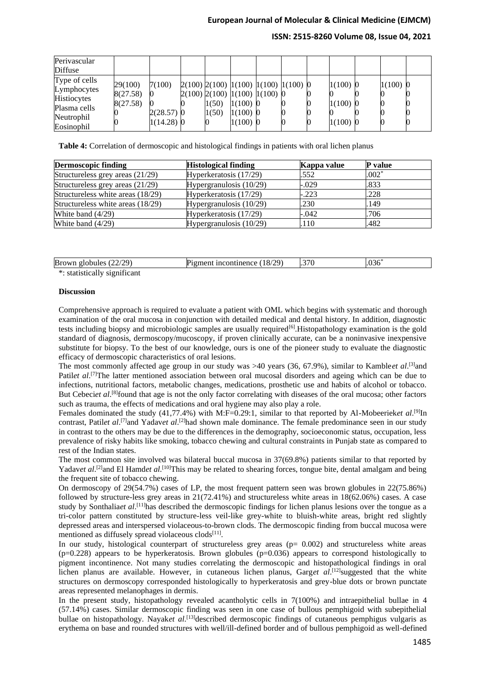### **ISSN: 2515-8260 Volume 08, Issue 04, 2021**

| Perivascular<br>Diffuse                                                                 |                                 |                                        |                |                                                                                                                                       |  |                                        |            |  |
|-----------------------------------------------------------------------------------------|---------------------------------|----------------------------------------|----------------|---------------------------------------------------------------------------------------------------------------------------------------|--|----------------------------------------|------------|--|
| Type of cells<br>Lymphocytes<br>Histiocytes<br>Plasma cells<br>Neutrophil<br>Eosinophil | 29(100)<br>8(27.58)<br>8(27.58) | 7(100)<br>$2(28.57)$ 0<br>$1(14.28)$ 0 | 1(50)<br>1(50) | $2(100)$ $2(100)$ $1(100)$ $1(100)$ $1(100)$ $0$<br>$2(100)$ $2(100)$ $1(100)$ $1(100)$ $0$<br>$1(100)$ 0<br>$1(100)$ 0<br>$1(100)$ 0 |  | $1(100)$ 0<br>$1(100)$ 0<br>$1(100)$ 0 | $1(100)$ 0 |  |

**Table 4:** Correlation of dermoscopic and histological findings in patients with oral lichen planus

| <b>Dermoscopic finding</b>        | <b>Histological finding</b> | Kappa value | <b>P</b> value |
|-----------------------------------|-----------------------------|-------------|----------------|
| Structureless grey areas (21/29)  | Hyperkeratosis (17/29)      | .552        | $.002*$        |
| Structureless grey areas (21/29)  | Hypergranulosis $(10/29)$   | $-.029$     | .833           |
| Structureless white areas (18/29) | Hyperkeratosis (17/29)      | $-.223$     | .228           |
| Structureless white areas (18/29) | Hypergranulosis $(10/29)$   | .230        | .149           |
| White band $(4/29)$               | Hyperkeratosis (17/29)      | $-.042$     | .706           |
| White band $(4/29)$               | Hypergranulosis $(10/29)$   | .110        | .482           |

| <b>Brc</b><br>$\n  0\n$<br>globules<br>A. | 120.<br>$\sim$<br>18,<br>$\mathcal{L}$ ontinence $\mathcal{L}$<br> | חדר<br>л.<br>$\sim$ $\sim$ $\sim$ |  |
|-------------------------------------------|--------------------------------------------------------------------|-----------------------------------|--|
| $\sim$                                    |                                                                    |                                   |  |

\*: statistically significant

### **Discussion**

Comprehensive approach is required to evaluate a patient with OML which begins with systematic and thorough examination of the oral mucosa in conjunction with detailed medical and dental history. In addition, diagnostic tests including biopsy and microbiologic samples are usually required<sup>[6]</sup>. Histopathology examination is the gold standard of diagnosis, dermoscopy/mucoscopy, if proven clinically accurate, can be a noninvasive inexpensive substitute for biopsy. To the best of our knowledge, ours is one of the pioneer study to evaluate the diagnostic efficacy of dermoscopic characteristics of oral lesions.

The most commonly affected age group in our study was >40 years (36, 67.9%), similar to Kamble*et al.*<sup>[3]</sup>and Patilet al.<sup>[7]</sup>The latter mentioned association between oral mucosal disorders and ageing which can be due to infections, nutritional factors, metabolic changes, medications, prosthetic use and habits of alcohol or tobacco. But Cebeciet al.<sup>[8]</sup>found that age is not the only factor correlating with diseases of the oral mucosa; other factors such as trauma, the effects of medications and oral hygiene may also play a role.

Females dominated the study (41,77.4%) with M:F=0.29:1, similar to that reported by Al-Mobeerieket al.<sup>[9]</sup>In contrast, Patilet al.<sup>[7]</sup>and Yadavet al.<sup>[2]</sup>had shown male dominance. The female predominance seen in our study in contrast to the others may be due to the differences in the demography, socioeconomic status, occupation, less prevalence of risky habits like smoking, tobacco chewing and cultural constraints in Punjab state as compared to rest of the Indian states.

The most common site involved was bilateral buccal mucosa in 37(69.8%) patients similar to that reported by Yadavet al.<sup>[2]</sup>and El Hamdet al.<sup>[10]</sup>This may be related to shearing forces, tongue bite, dental amalgam and being the frequent site of tobacco chewing.

On dermoscopy of 29(54.7%) cases of LP, the most frequent pattern seen was brown globules in 22(75.86%) followed by structure-less grey areas in 21(72.41%) and structureless white areas in 18(62.06%) cases. A case study by Sonthaliaet al.<sup>[11]</sup>has described the dermoscopic findings for lichen planus lesions over the tongue as a tri-color pattern constituted by structure-less veil-like grey-white to bluish-white areas, bright red slightly depressed areas and interspersed violaceous-to-brown clods. The dermoscopic finding from buccal mucosa were mentioned as diffusely spread violaceous clods<sup>[11]</sup>.

In our study, histological counterpart of structureless grey areas (p= 0.002) and structureless white areas (p=0.228) appears to be hyperkeratosis. Brown globules (p=0.036) appears to correspond histologically to pigment incontinence. Not many studies correlating the dermoscopic and histopathological findings in oral lichen planus are available. However, in cutaneous lichen planus, Garget al.<sup>[12]</sup>suggested that the white structures on dermoscopy corresponded histologically to hyperkeratosis and grey-blue dots or brown punctate areas represented melanophages in dermis.

In the present study, histopathology revealed acantholytic cells in 7(100%) and intraepithelial bullae in 4 (57.14%) cases. Similar dermoscopic finding was seen in one case of bullous pemphigoid with subepithelial bullae on histopathology. Nayak*et al*. [13]described dermoscopic findings of cutaneous pemphigus vulgaris as erythema on base and rounded structures with well/ill-defined border and of bullous pemphigoid as well-defined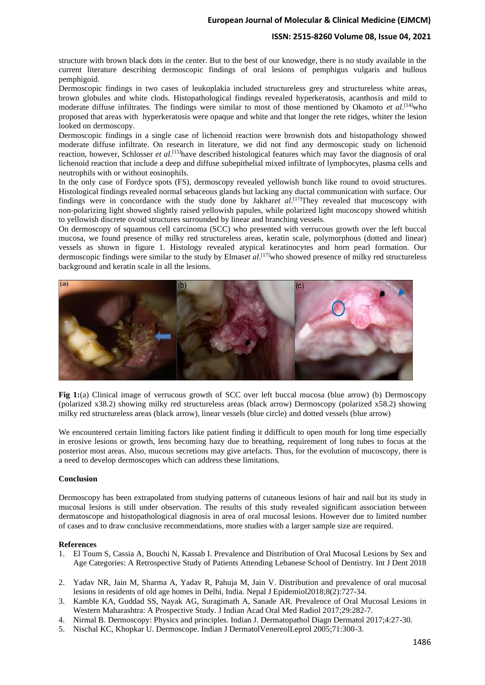### **ISSN: 2515-8260 Volume 08, Issue 04, 2021**

structure with brown black dots in the center. But to the best of our knowedge, there is no study available in the current literature describing dermoscopic findings of oral lesions of pemphigus vulgaris and bullous pemphigoid.

Dermoscopic findings in two cases of leukoplakia included structureless grey and structureless white areas, brown globules and white clods. Histopathological findings revealed hyperkeratosis, acanthosis and mild to moderate diffuse infiltrates. The findings were similar to most of those mentioned by Okamoto *et al*. [14]who proposed that areas with hyperkeratosis were opaque and white and that longer the rete ridges, whiter the lesion looked on dermoscopy.

Dermoscopic findings in a single case of lichenoid reaction were brownish dots and histopathology showed moderate diffuse infiltrate. On research in literature, we did not find any dermoscopic study on lichenoid reaction, however, Schlosser *et al*. [15]have described histological features which may favor the diagnosis of oral lichenoid reaction that include a deep and diffuse subepithelial mixed infiltrate of lymphocytes, plasma cells and neutrophils with or without eosinophils.

In the only case of Fordyce spots (FS), dermoscopy revealed yellowish bunch like round to ovoid structures. Histological findings revealed normal sebaceous glands but lacking any ductal communication with surface. Our findings were in concordance with the study done by Jakhar*et al*. [17]They revealed that mucoscopy with non-polarizing light showed slightly raised yellowish papules, while polarized light mucoscopy showed whitish to yellowish discrete ovoid structures surrounded by linear and branching vessels.

On dermoscopy of squamous cell carcinoma (SCC) who presented with verrucous growth over the left buccal mucosa, we found presence of milky red structureless areas, keratin scale, polymorphous (dotted and linear) vessels as shown in figure 1. Histology revealed atypical keratinocytes and horn pearl formation. Our dermoscopic findings were similar to the study by Elmas*et al*. [17]who showed presence of milky red structureless background and keratin scale in all the lesions.



**Fig 1:**(a) Clinical image of verrucous growth of SCC over left buccal mucosa (blue arrow) (b) Dermoscopy (polarized x38.2) showing milky red structureless areas (black arrow) Dermoscopy (polarized x58.2) showing milky red structureless areas (black arrow), linear vessels (blue circle) and dotted vessels (blue arrow)

We encountered certain limiting factors like patient finding it ddifficult to open mouth for long time especially in erosive lesions or growth, lens becoming hazy due to breathing, requirement of long tubes to focus at the posterior most areas. Also, mucous secretions may give artefacts. Thus, for the evolution of mucoscopy, there is a need to develop dermoscopes which can address these limitations.

### **Conclusion**

Dermoscopy has been extrapolated from studying patterns of cutaneous lesions of hair and nail but its study in mucosal lesions is still under observation. The results of this study revealed significant association between dermatoscope and histopathological diagnosis in area of oral mucosal lesions. However due to limited number of cases and to draw conclusive recommendations, more studies with a larger sample size are required.

#### **References**

- 1. El Toum S, Cassia A, Bouchi N, Kassab I. Prevalence and Distribution of Oral Mucosal Lesions by Sex and Age Categories: A Retrospective Study of Patients Attending Lebanese School of Dentistry. Int J Dent 2018
- 2. Yadav NR, Jain M, Sharma A, Yadav R, Pahuja M, Jain V. Distribution and prevalence of oral mucosal lesions in residents of old age homes in Delhi, India. Nepal J Epidemiol2018;8(2):727-34.
- 3. Kamble KA, Guddad SS, Nayak AG, Suragimath A, Sanade AR. Prevalence of Oral Mucosal Lesions in Western Maharashtra: A Prospective Study. J Indian Acad Oral Med Radiol 2017;29:282-7.
- 4. Nirmal B. Dermoscopy: Physics and principles. Indian J. Dermatopathol Diagn Dermatol 2017;4:27-30.
- 5. Nischal KC, Khopkar U. Dermoscope. Indian J DermatolVenereolLeprol 2005;71:300-3.